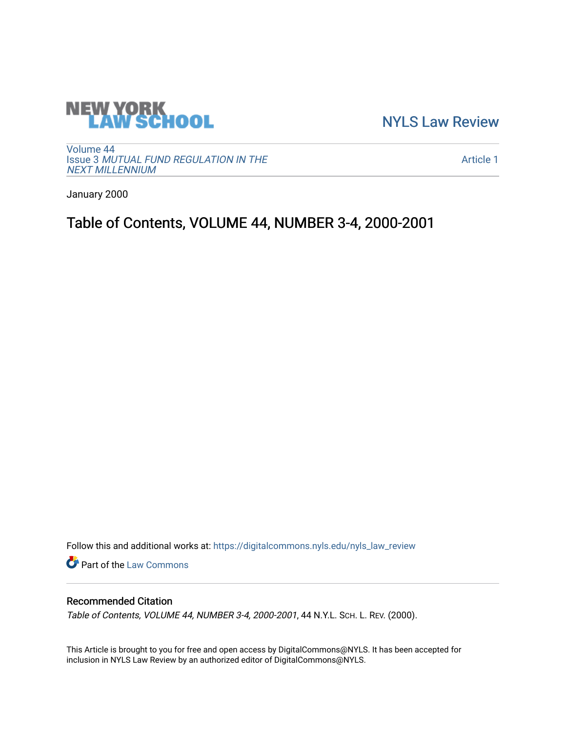

[NYLS Law Review](https://digitalcommons.nyls.edu/nyls_law_review) 

[Volume 44](https://digitalcommons.nyls.edu/nyls_law_review/vol44) Issue 3 [MUTUAL FUND REGULATION IN THE](https://digitalcommons.nyls.edu/nyls_law_review/vol44/iss3)  [NEXT MILLENNIUM](https://digitalcommons.nyls.edu/nyls_law_review/vol44/iss3)

[Article 1](https://digitalcommons.nyls.edu/nyls_law_review/vol44/iss3/1) 

January 2000

# Table of Contents, VOLUME 44, NUMBER 3-4, 2000-2001

Follow this and additional works at: [https://digitalcommons.nyls.edu/nyls\\_law\\_review](https://digitalcommons.nyls.edu/nyls_law_review?utm_source=digitalcommons.nyls.edu%2Fnyls_law_review%2Fvol44%2Fiss3%2F1&utm_medium=PDF&utm_campaign=PDFCoverPages) 

Part of the [Law Commons](https://network.bepress.com/hgg/discipline/578?utm_source=digitalcommons.nyls.edu%2Fnyls_law_review%2Fvol44%2Fiss3%2F1&utm_medium=PDF&utm_campaign=PDFCoverPages)

## Recommended Citation

Table of Contents, VOLUME 44, NUMBER 3-4, 2000-2001, 44 N.Y.L. SCH. L. REV. (2000).

This Article is brought to you for free and open access by DigitalCommons@NYLS. It has been accepted for inclusion in NYLS Law Review by an authorized editor of DigitalCommons@NYLS.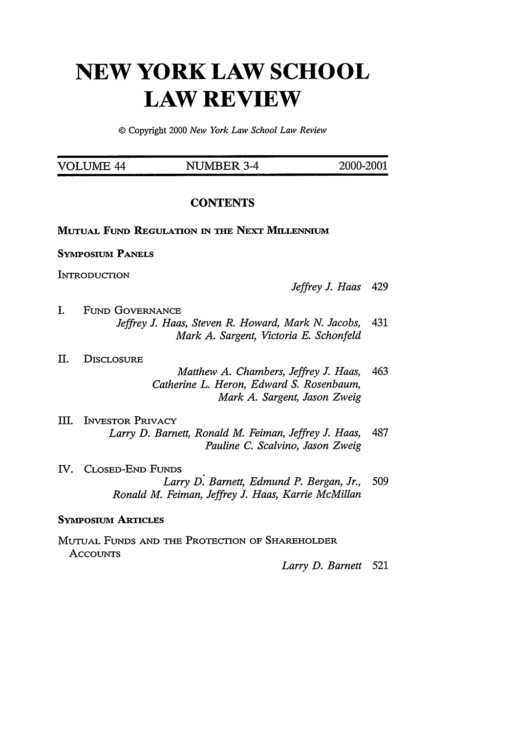# **NEW YORK LAW SCHOOL LAW REVIEW**

© Copyright 2000 *New York Law School Law Review*

| VOLUME 44 | NUMBER 3-4 | 2000-2001 |
|-----------|------------|-----------|
|           |            |           |

### **CONTENTS**

#### **MUTUAL FuND REGULATION IN THE NEXT MILLENNIUM**

#### **SYMPOSIUM PANELS**

INTRODUCTION

I. FUND GOVERNANCE *Jeffrey J. Haas, Steven R. Howard, Mark N. Jacobs,* 431 *Mark A. Sargent, Victoria E. Schonfeld*

#### II. DISCLOSURE

- *Matthew A. Chambers, Jeffrey J. Haas,* 463 *Catherine L. Heron, Edward S. Rosenbaum, Mark A. Sargent, Jason Zweig*
- III. INVESTOR PRIVACY *Larry D. Barnett, Ronald M. Feiman, Jeffrey J. Haas,* 487 *Pauline C. Scalvino, Jason Zweig*
- IV. CLOSED-END FUNDS *Larry D. Barnett, Edmund P. Bergan, Jr.,* 509 *Ronald M. Feiman, Jeffrey J. Haas, Karrie McMillan*

#### **SYMPOsiUM ARTICLES**

MUTUAL **FUNDS** AND THE PROTECTION OF SHAREHOLDER **ACCOUNTS** 

*Larry D. Barnett* 521

*Jeffrey J. Haas* 429